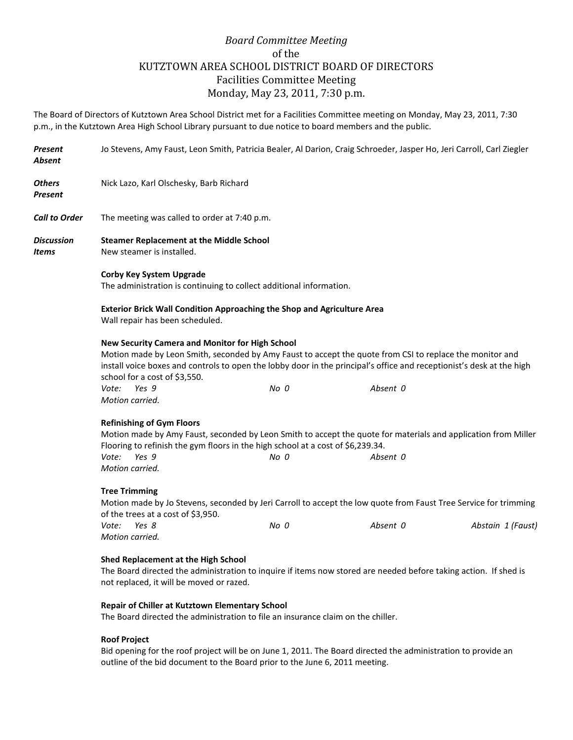## *Board Committee Meeting* of the KUTZTOWN AREA SCHOOL DISTRICT BOARD OF DIRECTORS Facilities Committee Meeting Monday, May 23, 2011, 7:30 p.m.

The Board of Directors of Kutztown Area School District met for a Facilities Committee meeting on Monday, May 23, 2011, 7:30 p.m., in the Kutztown Area High School Library pursuant to due notice to board members and the public.

| Present<br>Absent    | Jo Stevens, Amy Faust, Leon Smith, Patricia Bealer, Al Darion, Craig Schroeder, Jasper Ho, Jeri Carroll, Carl Ziegler                                                                                                                                        |                                                                                                                                                                                                                                           |          |  |
|----------------------|--------------------------------------------------------------------------------------------------------------------------------------------------------------------------------------------------------------------------------------------------------------|-------------------------------------------------------------------------------------------------------------------------------------------------------------------------------------------------------------------------------------------|----------|--|
| Others<br>Present    | Nick Lazo, Karl Olschesky, Barb Richard                                                                                                                                                                                                                      |                                                                                                                                                                                                                                           |          |  |
| <b>Call to Order</b> | The meeting was called to order at 7:40 p.m.                                                                                                                                                                                                                 |                                                                                                                                                                                                                                           |          |  |
| Discussion<br>Items  | <b>Steamer Replacement at the Middle School</b><br>New steamer is installed.                                                                                                                                                                                 |                                                                                                                                                                                                                                           |          |  |
|                      | <b>Corby Key System Upgrade</b><br>The administration is continuing to collect additional information.                                                                                                                                                       |                                                                                                                                                                                                                                           |          |  |
|                      | <b>Exterior Brick Wall Condition Approaching the Shop and Agriculture Area</b><br>Wall repair has been scheduled.                                                                                                                                            |                                                                                                                                                                                                                                           |          |  |
|                      | New Security Camera and Monitor for High School<br>school for a cost of \$3,550.<br>Yes 9<br>Vote:<br>Motion carried.                                                                                                                                        | Motion made by Leon Smith, seconded by Amy Faust to accept the quote from CSI to replace the monitor and<br>install voice boxes and controls to open the lobby door in the principal's office and receptionist's desk at the high<br>No 0 | Absent 0 |  |
|                      | <b>Refinishing of Gym Floors</b><br>Motion made by Amy Faust, seconded by Leon Smith to accept the quote for materials and application from Miller<br>Flooring to refinish the gym floors in the high school at a cost of \$6,239.34.                        |                                                                                                                                                                                                                                           |          |  |
|                      | Vote:<br>Yes 9<br>Motion carried.                                                                                                                                                                                                                            | No 0                                                                                                                                                                                                                                      | Absent 0 |  |
|                      | <b>Tree Trimming</b><br>Motion made by Jo Stevens, seconded by Jeri Carroll to accept the low quote from Faust Tree Service for trimming<br>of the trees at a cost of \$3,950.<br>Vote:<br>Yes 8<br>No 0<br>Absent 0<br>Abstain 1 (Faust)<br>Motion carried. |                                                                                                                                                                                                                                           |          |  |
|                      | Shed Replacement at the High School<br>The Board directed the administration to inquire if items now stored are needed before taking action. If shed is<br>not replaced, it will be moved or razed.                                                          |                                                                                                                                                                                                                                           |          |  |
|                      | Repair of Chiller at Kutztown Elementary School<br>The Board directed the administration to file an insurance claim on the chiller.                                                                                                                          |                                                                                                                                                                                                                                           |          |  |
|                      | <b>Roof Project</b><br>Bid opening for the roof project will be an lung 1, 2011. The Board directed the administration to provide an                                                                                                                         |                                                                                                                                                                                                                                           |          |  |

Bid opening for the roof project will be on June 1, 2011. The Board directed the administration to provide an outline of the bid document to the Board prior to the June 6, 2011 meeting.